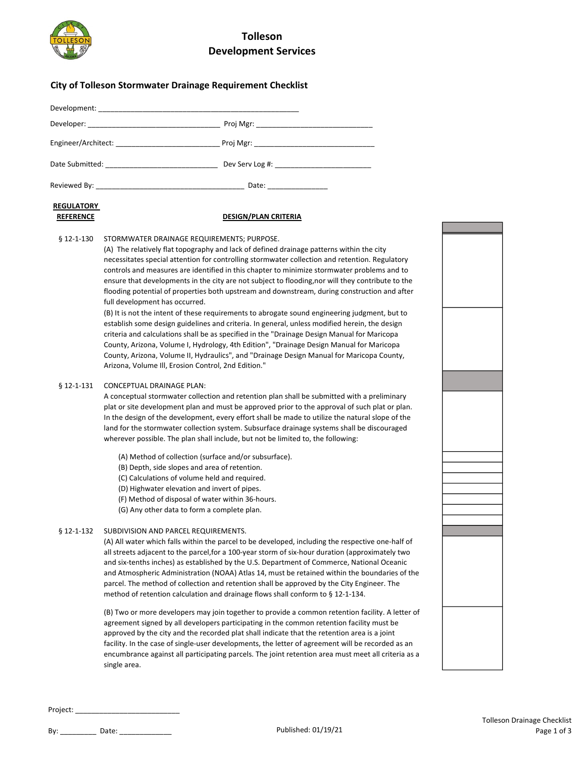

## Tolleson Development Services

### City of Tolleson Stormwater Drainage Requirement Checklist

| Engineer/Architect: Engineer/Architect:           |                    |
|---------------------------------------------------|--------------------|
| Date Submitted: National Assembly Pate Submitted: |                    |
|                                                   | Date: ____________ |

# **REGULATORY**

#### REFERENCE DESIGN/PLAN CRITERIA

§ 12-1-130 STORMWATER DRAINAGE REQUIREMENTS; PURPOSE.

(A) The relatively flat topography and lack of defined drainage patterns within the city necessitates special attention for controlling stormwater collection and retention. Regulatory controls and measures are identified in this chapter to minimize stormwater problems and to ensure that developments in the city are not subject to flooding,nor will they contribute to the flooding potential of properties both upstream and downstream, during construction and after full development has occurred.

(B) It is not the intent of these requirements to abrogate sound engineering judgment, but to establish some design guidelines and criteria. In general, unless modified herein, the design criteria and calculations shall be as specified in the "Drainage Design Manual for Maricopa County, Arizona, Volume I, Hydrology, 4th Edition", "Drainage Design Manual for Maricopa County, Arizona, Volume II, Hydraulics", and "Drainage Design Manual for Maricopa County, Arizona, Volume Ill, Erosion Control, 2nd Edition."

#### § 12-1-131 CONCEPTUAL DRAINAGE PLAN:

A conceptual stormwater collection and retention plan shall be submitted with a preliminary plat or site development plan and must be approved prior to the approval of such plat or plan. In the design of the development, every effort shall be made to utilize the natural slope of the land for the stormwater collection system. Subsurface drainage systems shall be discouraged wherever possible. The plan shall include, but not be limited to, the following:

- (A) Method of collection (surface and/or subsurface).
- (B) Depth, side slopes and area of retention.
- (C) Calculations of volume held and required.
- (D) Highwater elevation and invert of pipes.
- (F) Method of disposal of water within 36-hours.
- (G) Any other data to form a complete plan.

#### § 12-1-132 SUBDIVISION AND PARCEL REQUIREMENTS.

(A) All water which falls within the parcel to be developed, including the respective one-half of all streets adjacent to the parcel,for a 100-year storm of six-hour duration (approximately two and six-tenths inches) as established by the U.S. Department of Commerce, National Oceanic and Atmospheric Administration (NOAA) Atlas 14, must be retained within the boundaries of the parcel. The method of collection and retention shall be approved by the City Engineer. The method of retention calculation and drainage flows shall conform to § 12-1-134.

(B) Two or more developers may join together to provide a common retention facility. A letter of agreement signed by all developers participating in the common retention facility must be approved by the city and the recorded plat shall indicate that the retention area is a joint facility. In the case of single-user developments, the letter of agreement will be recorded as an encumbrance against all participating parcels. The joint retention area must meet all criteria as a single area.



Project: \_\_\_\_\_\_\_\_\_\_\_\_\_\_\_\_\_\_\_\_\_\_\_\_\_\_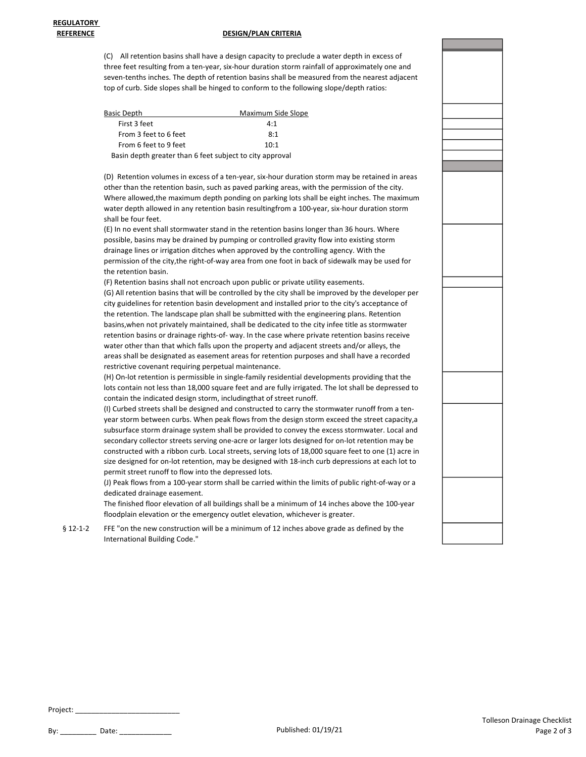#### REFERENCE DESIGN/PLAN CRITERIA

(C) All retention basins shall have a design capacity to preclude a water depth in excess of three feet resulting from a ten-year, six-hour duration storm rainfall of approximately one and seven-tenths inches. The depth of retention basins shall be measured from the nearest adjacent top of curb. Side slopes shall be hinged to conform to the following slope/depth ratios:

| Basic Depth                                              | Maximum Side Slope |
|----------------------------------------------------------|--------------------|
| First 3 feet                                             | 4:1                |
| From 3 feet to 6 feet                                    | 8:1                |
| From 6 feet to 9 feet                                    | 10:1               |
| Basin depth greater than 6 feet subject to city approval |                    |

(D) Retention volumes in excess of a ten-year, six-hour duration storm may be retained in areas other than the retention basin, such as paved parking areas, with the permission of the city. Where allowed,the maximum depth ponding on parking lots shall be eight inches. The maximum water depth allowed in any retention basin resultingfrom a 100-year, six-hour duration storm shall be four feet.

(E) In no event shall stormwater stand in the retention basins longer than 36 hours. Where possible, basins may be drained by pumping or controlled gravity flow into existing storm drainage lines or irrigation ditches when approved by the controlling agency. With the permission of the city,the right-of-way area from one foot in back of sidewalk may be used for the retention basin.

(F) Retention basins shall not encroach upon public or private utility easements. (G) All retention basins that will be controlled by the city shall be improved by the developer per city guidelines for retention basin development and installed prior to the city's acceptance of the retention. The landscape plan shall be submitted with the engineering plans. Retention basins,when not privately maintained, shall be dedicated to the city infee title as stormwater retention basins or drainage rights-of- way. In the case where private retention basins receive water other than that which falls upon the property and adjacent streets and/or alleys, the areas shall be designated as easement areas for retention purposes and shall have a recorded restrictive covenant requiring perpetual maintenance.

(H) On-lot retention is permissible in single-family residential developments providing that the lots contain not less than 18,000 square feet and are fully irrigated. The lot shall be depressed to contain the indicated design storm, includingthat of street runoff.

(I) Curbed streets shall be designed and constructed to carry the stormwater runoff from a tenyear storm between curbs. When peak flows from the design storm exceed the street capacity,a subsurface storm drainage system shall be provided to convey the excess stormwater. Local and secondary collector streets serving one-acre or larger lots designed for on-lot retention may be constructed with a ribbon curb. Local streets, serving lots of 18,000 square feet to one (1) acre in size designed for on-lot retention, may be designed with 18-inch curb depressions at each lot to permit street runoff to flow into the depressed lots.

(J) Peak flows from a 100-year storm shall be carried within the limits of public right-of-way or a dedicated drainage easement.

The finished floor elevation of all buildings shall be a minimum of 14 inches above the 100-year floodplain elevation or the emergency outlet elevation, whichever is greater.

§ 12-1-2 FFE "on the new construction will be a minimum of 12 inches above grade as defined by the International Building Code."



Project: